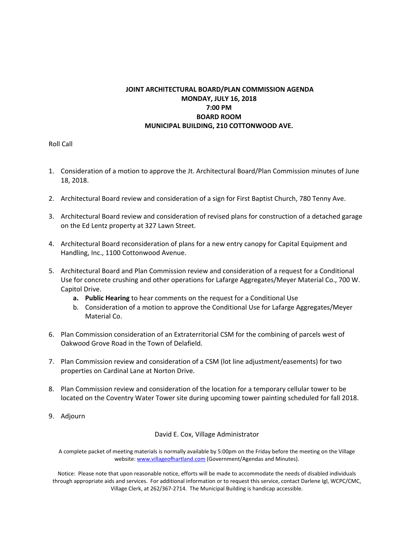## **JOINT ARCHITECTURAL BOARD/PLAN COMMISSION AGENDA MONDAY, JULY 16, 2018 7:00 PM BOARD ROOM MUNICIPAL BUILDING, 210 COTTONWOOD AVE.**

Roll Call

- 1. Consideration of a motion to approve the Jt. Architectural Board/Plan Commission minutes of June 18, 2018.
- 2. Architectural Board review and consideration of a sign for First Baptist Church, 780 Tenny Ave.
- 3. Architectural Board review and consideration of revised plans for construction of a detached garage on the Ed Lentz property at 327 Lawn Street.
- 4. Architectural Board reconsideration of plans for a new entry canopy for Capital Equipment and Handling, Inc., 1100 Cottonwood Avenue.
- 5. Architectural Board and Plan Commission review and consideration of a request for a Conditional Use for concrete crushing and other operations for Lafarge Aggregates/Meyer Material Co., 700 W. Capitol Drive.
	- **a. Public Hearing** to hear comments on the request for a Conditional Use
	- b. Consideration of a motion to approve the Conditional Use for Lafarge Aggregates/Meyer Material Co.
- 6. Plan Commission consideration of an Extraterritorial CSM for the combining of parcels west of Oakwood Grove Road in the Town of Delafield.
- 7. Plan Commission review and consideration of a CSM (lot line adjustment/easements) for two properties on Cardinal Lane at Norton Drive.
- 8. Plan Commission review and consideration of the location for a temporary cellular tower to be located on the Coventry Water Tower site during upcoming tower painting scheduled for fall 2018.
- 9. Adjourn

David E. Cox, Village Administrator

A complete packet of meeting materials is normally available by 5:00pm on the Friday before the meeting on the Village website: www.villageofhartland.com (Government/Agendas and Minutes).

Notice: Please note that upon reasonable notice, efforts will be made to accommodate the needs of disabled individuals through appropriate aids and services. For additional information or to request this service, contact Darlene Igl, WCPC/CMC, Village Clerk, at 262/367‐2714. The Municipal Building is handicap accessible.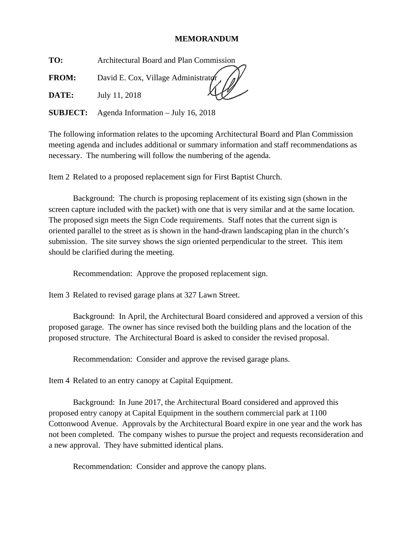## **MEMORANDUM**

**TO:** Architectural Board and Plan Commission

**FROM:** David E. Cox, Village Administrator

**DATE:** July 11, 2018

**SUBJECT:** Agenda Information – July 16, 2018

The following information relates to the upcoming Architectural Board and Plan Commission meeting agenda and includes additional or summary information and staff recommendations as necessary. The numbering will follow the numbering of the agenda.

Item 2 Related to a proposed replacement sign for First Baptist Church.

 Background: The church is proposing replacement of its existing sign (shown in the screen capture included with the packet) with one that is very similar and at the same location. The proposed sign meets the Sign Code requirements. Staff notes that the current sign is oriented parallel to the street as is shown in the hand-drawn landscaping plan in the church's submission. The site survey shows the sign oriented perpendicular to the street. This item should be clarified during the meeting.

Recommendation: Approve the proposed replacement sign.

Item 3 Related to revised garage plans at 327 Lawn Street.

 Background: In April, the Architectural Board considered and approved a version of this proposed garage. The owner has since revised both the building plans and the location of the proposed structure. The Architectural Board is asked to consider the revised proposal.

Recommendation: Consider and approve the revised garage plans.

Item 4 Related to an entry canopy at Capital Equipment.

 Background: In June 2017, the Architectural Board considered and approved this proposed entry canopy at Capital Equipment in the southern commercial park at 1100 Cottonwood Avenue. Approvals by the Architectural Board expire in one year and the work has not been completed. The company wishes to pursue the project and requests reconsideration and a new approval. They have submitted identical plans.

Recommendation: Consider and approve the canopy plans.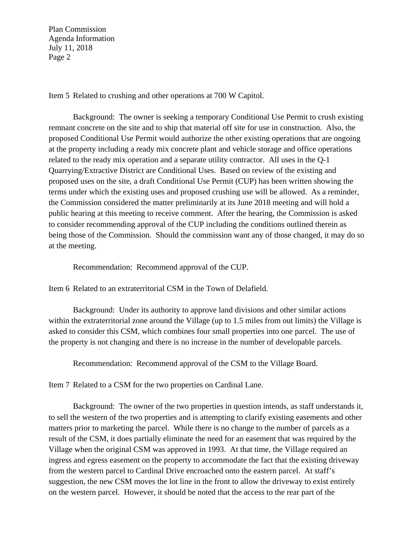Plan Commission Agenda Information July 11, 2018 Page 2

Item 5 Related to crushing and other operations at 700 W Capitol.

 Background: The owner is seeking a temporary Conditional Use Permit to crush existing remnant concrete on the site and to ship that material off site for use in construction. Also, the proposed Conditional Use Permit would authorize the other existing operations that are ongoing at the property including a ready mix concrete plant and vehicle storage and office operations related to the ready mix operation and a separate utility contractor. All uses in the Q-1 Quarrying/Extractive District are Conditional Uses. Based on review of the existing and proposed uses on the site, a draft Conditional Use Permit (CUP) has been written showing the terms under which the existing uses and proposed crushing use will be allowed. As a reminder, the Commission considered the matter preliminarily at its June 2018 meeting and will hold a public hearing at this meeting to receive comment. After the hearing, the Commission is asked to consider recommending approval of the CUP including the conditions outlined therein as being those of the Commission. Should the commission want any of those changed, it may do so at the meeting.

Recommendation: Recommend approval of the CUP.

Item 6 Related to an extraterritorial CSM in the Town of Delafield.

Background: Under its authority to approve land divisions and other similar actions within the extraterritorial zone around the Village (up to 1.5 miles from out limits) the Village is asked to consider this CSM, which combines four small properties into one parcel. The use of the property is not changing and there is no increase in the number of developable parcels.

Recommendation: Recommend approval of the CSM to the Village Board.

Item 7 Related to a CSM for the two properties on Cardinal Lane.

 Background: The owner of the two properties in question intends, as staff understands it, to sell the western of the two properties and is attempting to clarify existing easements and other matters prior to marketing the parcel. While there is no change to the number of parcels as a result of the CSM, it does partially eliminate the need for an easement that was required by the Village when the original CSM was approved in 1993. At that time, the Village required an ingress and egress easement on the property to accommodate the fact that the existing driveway from the western parcel to Cardinal Drive encroached onto the eastern parcel. At staff's suggestion, the new CSM moves the lot line in the front to allow the driveway to exist entirely on the western parcel. However, it should be noted that the access to the rear part of the